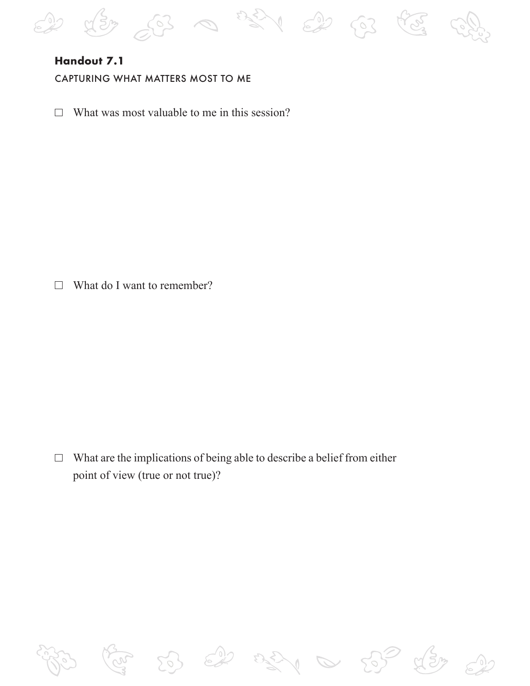

# **Handout 7.1**

CAPTURING WHAT MATTERS MOST TO ME

 $\Box$  What was most valuable to me in this session?

 $\Box$  What do I want to remember?

 $\Box$  What are the implications of being able to describe a belief from either point of view (true or not true)?

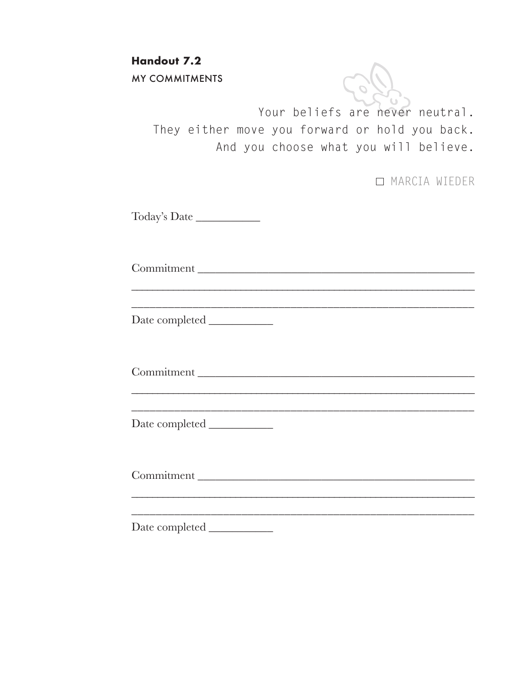**Handout 7.2** MY COMMITMENTS

> Your beliefs are never neutral. They either move you forward or hold you back. And you choose what you will believe.

> > MARCIA WIEDER

Today's Date \_\_\_\_\_\_\_\_\_\_\_

Commitment \_\_\_\_\_\_\_\_\_\_\_\_\_\_\_\_\_\_\_\_\_\_\_\_\_\_\_\_\_\_\_\_\_\_\_\_\_\_\_\_\_\_\_\_\_\_\_

\_\_\_\_\_\_\_\_\_\_\_\_\_\_\_\_\_\_\_\_\_\_\_\_\_\_\_\_\_\_\_\_\_\_\_\_\_\_\_\_\_\_\_\_\_\_\_\_\_\_\_\_\_\_\_\_\_\_\_\_\_\_\_\_\_\_

\_\_\_\_\_\_\_\_\_\_\_\_\_\_\_\_\_\_\_\_\_\_\_\_\_\_\_\_\_\_\_\_\_\_\_\_\_\_\_\_\_\_\_\_\_\_\_\_\_\_\_\_\_\_\_\_ Date completed \_\_\_\_\_\_\_\_\_\_\_

Commitment

\_\_\_\_\_\_\_\_\_\_\_\_\_\_\_\_\_\_\_\_\_\_\_\_\_\_\_\_\_\_\_\_\_\_\_\_\_\_\_\_\_\_\_\_\_\_\_\_\_\_\_\_\_\_\_\_\_\_\_\_\_\_\_\_\_\_ \_\_\_\_\_\_\_\_\_\_\_\_\_\_\_\_\_\_\_\_\_\_\_\_\_\_\_\_\_\_\_\_\_\_\_\_\_\_\_\_\_\_\_\_\_\_\_\_\_\_\_\_\_\_\_\_

Date completed \_\_\_\_\_\_\_\_\_\_\_

Commitment \_\_\_\_\_\_\_\_\_\_\_\_\_\_\_\_\_\_\_\_\_\_\_\_\_\_\_\_\_\_\_\_\_\_\_\_\_\_\_\_\_\_\_\_\_\_\_

\_\_\_\_\_\_\_\_\_\_\_\_\_\_\_\_\_\_\_\_\_\_\_\_\_\_\_\_\_\_\_\_\_\_\_\_\_\_\_\_\_\_\_\_\_\_\_\_\_\_\_\_\_\_\_\_\_\_\_\_\_\_\_\_\_\_ \_\_\_\_\_\_\_\_\_\_\_\_\_\_\_\_\_\_\_\_\_\_\_\_\_\_\_\_\_\_\_\_\_\_\_\_\_\_\_\_\_\_\_\_\_\_\_\_\_\_\_\_\_\_\_\_

Date completed \_\_\_\_\_\_\_\_\_\_\_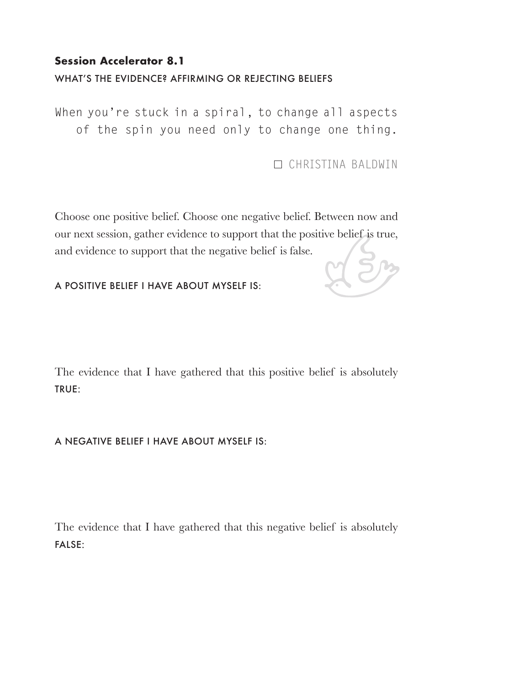## **Session Accelerator 8.1**

### WHAT'S THE EVIDENCE? AFFIRMING OR REJECTING BELIEFS

When you're stuck in a spiral, to change all aspects of the spin you need only to change one thing.

CHRISTINA BALDWIN

Choose one positive belief. Choose one negative belief. Between now and our next session, gather evidence to support that the positive belief is true, and evidence to support that the negative belief is false.

A POSITIVE BELIEF I HAVE ABOUT MYSELF IS:

The evidence that I have gathered that this positive belief is absolutely TRUE:

#### A NEGATIVE BELIEF I HAVE ABOUT MYSELF IS:

The evidence that I have gathered that this negative belief is absolutely FALSE: